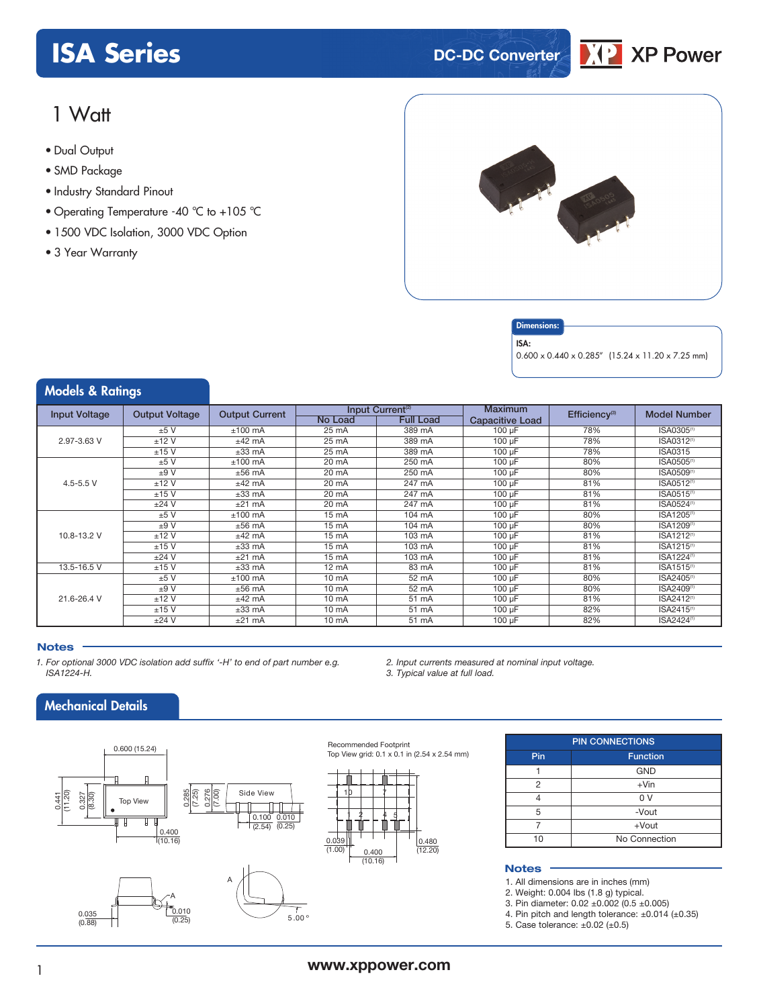# **ISA Series DC-DC Converter**



# 1 Watt

- **xxx Series** Dual Output
- SMD Package
- Industry Standard Pinout
- Operating Temperature -40 °C to +105 °C
- 1500 VDC Isolation, 3000 VDC Option
- 3 Year Warranty



#### **Dimensions**

ISA:

0.600 x 0.440 x 0.285" (15.24 x 11.20 x 7.25 mm)

| <b>Models &amp; Ratings</b> |         |                       |                 |                              |                        |                           |                        |
|-----------------------------|---------|-----------------------|-----------------|------------------------------|------------------------|---------------------------|------------------------|
| <b>Output Voltage</b>       |         | <b>Output Current</b> |                 | Input Current <sup>(2)</sup> | Maximum                | Efficiency <sup>(3)</sup> | <b>Model Number</b>    |
| <b>Input Voltage</b>        |         |                       | <b>No Load</b>  | <b>Full Load</b>             | <b>Capacitive Load</b> |                           |                        |
|                             | ±5V     | $±100$ mA             | $25 \text{ mA}$ | 389 mA                       | $100 \mu F$            | 78%                       | ISA0305 <sup>(1)</sup> |
| 2.97-3.63 V                 | ±12V    | $±42$ mA              | $25 \text{ mA}$ | 389 mA                       | $100 \mu F$            | 78%                       | ISA0312 <sup>(1)</sup> |
|                             | ±15V    | $±33$ mA              | 25 mA           | 389 mA                       | $100 \mu F$            | 78%                       | <b>ISA0315</b>         |
|                             | ±5V     | $±100$ mA             | $20 \text{ mA}$ | 250 mA                       | $100 \mu F$            | 80%                       | ISA0505 <sup>(1)</sup> |
|                             | ±9V     | $±56$ mA              | 20 mA           | 250 mA                       | $100 \mu F$            | 80%                       | ISA0509 <sup>(1)</sup> |
| 4.5-5.5 $V$                 | ±12V    | $±42$ mA              | $20 \text{ mA}$ | 247 mA                       | $100 \mu F$            | 81%                       | ISA0512 <sup>(1)</sup> |
|                             | ±15V    | $±33$ mA              | 20 mA           | 247 mA                       | $100 \mu F$            | 81%                       | ISA0515 <sup>(1)</sup> |
|                             | $±24$ V | $±21$ mA              | 20 mA           | 247 mA                       | $100 \mu F$            | 81%                       | ISA0524 <sup>(1)</sup> |
|                             | ±5V     | $±100$ mA             | 15 mA           | 104 mA                       | 100 µF                 | 80%                       | ISA1205 <sup>(1)</sup> |
|                             | ±9V     | $±56$ mA              | 15 mA           | 104 mA                       | 100 µF                 | 80%                       | ISA1209 <sup>(1)</sup> |
| 10.8-13.2 V                 | ±12V    | $±42$ mA              | 15 mA           | 103 mA                       | $100 \mu F$            | 81%                       | ISA1212 <sup>(1)</sup> |
|                             | $±15$ V | $±33$ mA              | 15 mA           | 103 mA                       | $100 \mu F$            | 81%                       | ISA1215 <sup>(1)</sup> |
|                             | $±24$ V | $±21$ mA              | 15 mA           | 103 mA                       | 100 µF                 | 81%                       | ISA1224 <sup>(1)</sup> |
| 13.5-16.5 V                 | $±15$ V | $±33$ mA              | $12 \text{ mA}$ | 83 mA                        | $100 \mu F$            | 81%                       | ISA1515 <sup>(1)</sup> |
|                             | ±5V     | $±100$ mA             | $10 \text{ mA}$ | 52 mA                        | $100 \mu F$            | 80%                       | ISA2405 <sup>(1)</sup> |
|                             | ±9V     | $±56$ mA              | $10 \text{ mA}$ | 52 mA                        | $100 \mu F$            | 80%                       | ISA2409 <sup>(1)</sup> |
| 21.6-26.4 V                 | $±12$ V | $±42$ mA              | $10 \text{ mA}$ | 51 mA                        | 100 µF                 | 81%                       | ISA2412 <sup>(1)</sup> |
|                             | ±15V    | $±33$ mA              | $10 \text{ mA}$ | 51 mA                        | $100 \mu F$            | 82%                       | ISA2415 <sup>(1)</sup> |
|                             | $±24$ V | $±21$ mA              | $10 \text{ mA}$ | 51 mA                        | $100 \mu F$            | 82%                       | ISA2424 <sup>(1)</sup> |

#### **Notes**

- *1. For optional 3000 VDC isolation add suffix '-H' to end of part number e.g. ISA1224-H.*
- *2. Input currents measured at nominal input voltage. 3. Typical value at full load.*

Mechanical Details



PIN CONNECTIONS Pin Function 1 GND  $2 + \text{Vin}$ 4 0 V 5 -Vout 7 +Vout 10 No Connection

#### **Notes**

1. All dimensions are in inches (mm)

2. Weight: 0.004 lbs (1.8 g) typical.

3. Pin diameter: 0.02 ±0.002 (0.5 ±0.005)

4. Pin pitch and length tolerance: ±0.014 (±0.35)

5. Case tolerance: ±0.02 (±0.5)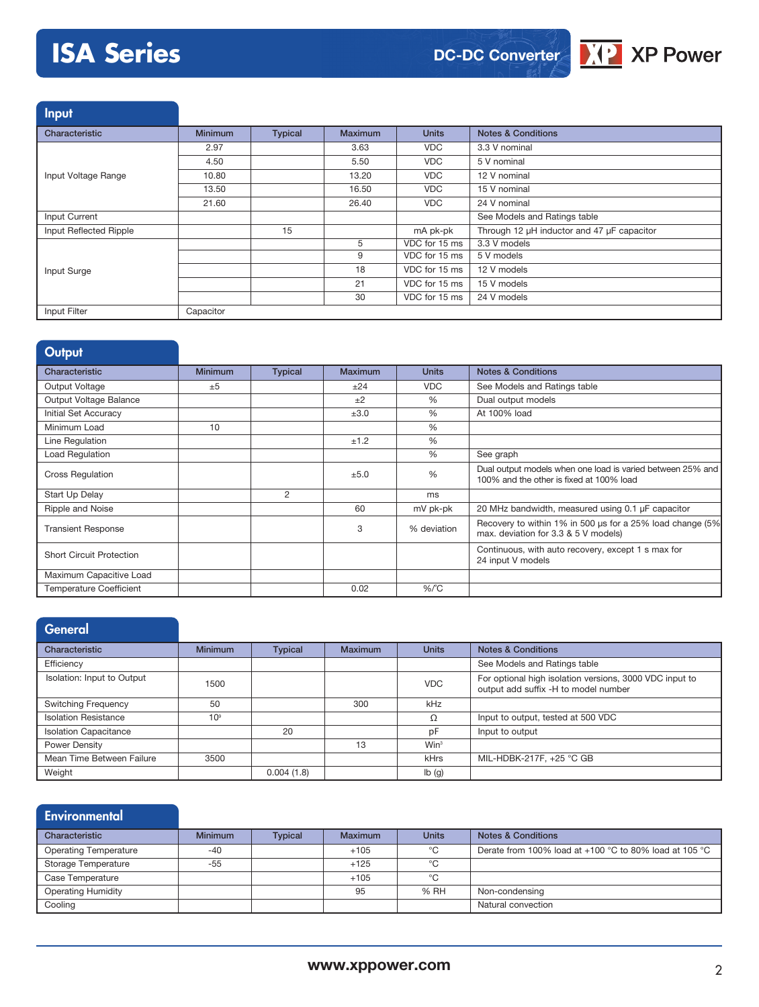# **ISA Series**





Input

| Characteristic         | <b>Minimum</b> | <b>Typical</b> | <b>Maximum</b> | <b>Units</b>  | <b>Notes &amp; Conditions</b>              |
|------------------------|----------------|----------------|----------------|---------------|--------------------------------------------|
|                        | 2.97           |                | 3.63           | <b>VDC</b>    | 3.3 V nominal                              |
|                        | 4.50           |                | 5.50           | <b>VDC</b>    | 5 V nominal                                |
| Input Voltage Range    | 10.80          |                | 13.20          | <b>VDC</b>    | 12 V nominal                               |
|                        | 13.50          |                | 16.50          | <b>VDC</b>    | 15 V nominal                               |
|                        | 21.60          |                | 26.40          | <b>VDC</b>    | 24 V nominal                               |
| Input Current          |                |                |                |               | See Models and Ratings table               |
| Input Reflected Ripple |                | 15             |                | mA pk-pk      | Through 12 µH inductor and 47 µF capacitor |
|                        |                |                | 5              | VDC for 15 ms | 3.3 V models                               |
|                        |                |                | 9              | VDC for 15 ms | 5 V models                                 |
| Input Surge            |                |                | 18             | VDC for 15 ms | 12 V models                                |
|                        |                |                | 21             | VDC for 15 ms | 15 V models                                |
|                        |                |                | 30             | VDC for 15 ms | 24 V models                                |
| Input Filter           | Capacitor      |                |                |               |                                            |

| Output                          |                |                |                |               |                                                                                                        |
|---------------------------------|----------------|----------------|----------------|---------------|--------------------------------------------------------------------------------------------------------|
| Characteristic                  | <b>Minimum</b> | <b>Typical</b> | <b>Maximum</b> | <b>Units</b>  | <b>Notes &amp; Conditions</b>                                                                          |
| Output Voltage                  | ±5             |                | ±24            | <b>VDC</b>    | See Models and Ratings table                                                                           |
| Output Voltage Balance          |                |                | ±2             | $\%$          | Dual output models                                                                                     |
| Initial Set Accuracy            |                |                | ±3.0           | $\frac{0}{0}$ | At 100% load                                                                                           |
| Minimum Load                    | 10             |                |                | $\frac{0}{0}$ |                                                                                                        |
| Line Regulation                 |                |                | ±1.2           | $\%$          |                                                                                                        |
| Load Regulation                 |                |                |                | $\%$          | See graph                                                                                              |
| <b>Cross Regulation</b>         |                |                | ±5.0           | %             | Dual output models when one load is varied between 25% and<br>100% and the other is fixed at 100% load |
| Start Up Delay                  |                | 2              |                | ms            |                                                                                                        |
| Ripple and Noise                |                |                | 60             | mV pk-pk      | 20 MHz bandwidth, measured using 0.1 µF capacitor                                                      |
| <b>Transient Response</b>       |                |                | 3              | % deviation   | Recovery to within 1% in 500 us for a 25% load change (5%)<br>max. deviation for 3.3 & 5 V models)     |
| <b>Short Circuit Protection</b> |                |                |                |               | Continuous, with auto recovery, except 1 s max for<br>24 input V models                                |
| Maximum Capacitive Load         |                |                |                |               |                                                                                                        |
| <b>Temperature Coefficient</b>  |                |                | 0.02           | $%$ $C$       |                                                                                                        |

| General                      |                 |                |                |                  |                                                                                                 |
|------------------------------|-----------------|----------------|----------------|------------------|-------------------------------------------------------------------------------------------------|
| Characteristic               | <b>Minimum</b>  | <b>Typical</b> | <b>Maximum</b> | <b>Units</b>     | <b>Notes &amp; Conditions</b>                                                                   |
| Efficiency                   |                 |                |                |                  | See Models and Ratings table                                                                    |
| Isolation: Input to Output   | 1500            |                |                | <b>VDC</b>       | For optional high isolation versions, 3000 VDC input to<br>output add suffix -H to model number |
| <b>Switching Frequency</b>   | 50              |                | 300            | kHz              |                                                                                                 |
| <b>Isolation Resistance</b>  | 10 <sup>9</sup> |                |                | Ω                | Input to output, tested at 500 VDC                                                              |
| <b>Isolation Capacitance</b> |                 | 20             |                | pF               | Input to output                                                                                 |
| <b>Power Density</b>         |                 |                | 13             | Win <sup>3</sup> |                                                                                                 |
| Mean Time Between Failure    | 3500            |                |                | <b>kHrs</b>      | MIL-HDBK-217F, +25 °C GB                                                                        |
| Weight                       |                 | 0.004(1.8)     |                | Ib(g)            |                                                                                                 |

## **Environmental**

| Characteristic               | <b>Minimum</b> | <b>Typical</b> | Maximum | <b>Units</b> | <b>Notes &amp; Conditions</b>                            |
|------------------------------|----------------|----------------|---------|--------------|----------------------------------------------------------|
| <b>Operating Temperature</b> | $-40$          |                | $+105$  | °C           | Derate from 100% load at $+100$ °C to 80% load at 105 °C |
| Storage Temperature          | -55            |                | $+125$  | °C           |                                                          |
| Case Temperature             |                |                | $+105$  | °C           |                                                          |
| <b>Operating Humidity</b>    |                |                | 95      | % RH         | Non-condensing                                           |
| Cooling                      |                |                |         |              | Natural convection                                       |